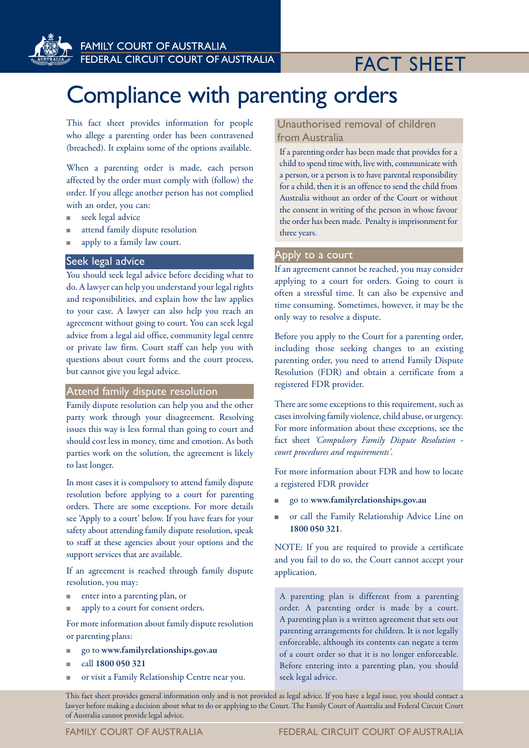

## FACT SHEET

# Compliance with parenting orders

This fact sheet provides information for people who allege a parenting order has been contravened (breached). It explains some of the options available.

When a parenting order is made, each person affected by the order must comply with (follow) the order. If you allege another person has not complied with an order, you can:

- seek legal advice
- n attend family dispute resolution
- apply to a family law court.

#### Seek legal advice

You should seek legal advice before deciding what to do. A lawyer can help you understand your legal rights and responsibilities, and explain how the law applies to your case. A lawyer can also help you reach an agreement without going to court. You can seek legal advice from a legal aid office, community legal centre or private law firm. Court staff can help you with questions about court forms and the court process, but cannot give you legal advice.

#### Attend family dispute resolution

Family dispute resolution can help you and the other party work through your disagreement. Resolving issues this way is less formal than going to court and should cost less in money, time and emotion. As both parties work on the solution, the agreement is likely to last longer.

In most cases it is compulsory to attend family dispute resolution before applying to a court for parenting orders. There are some exceptions. For more details see 'Apply to a court' below. If you have fears for your safety about attending family dispute resolution, speak to staff at these agencies about your options and the support services that are available.

If an agreement is reached through family dispute resolution, you may:

- <sup>n</sup> enter into a parenting plan, or
- apply to a court for consent orders.

For more information about family dispute resolution or parenting plans:

- <sup>n</sup> go to www.familyrelationships.gov.au
- n call 1800 050 321
- or visit a Family Relationship Centre near you.

### Unauthorised removal of children Unauthorised removal of children from Australia from Australia

If a parenting order has been made that provides for a child to spend time with, live with, communicate with a person, or a person is to have parental responsibility for a child, then it is an offence to send the child from Australia without an order of the Court or without the consent in writing of the person in whose favour the order has been made. Penalty is imprisonment for three years.

#### Apply to a court

If an agreement cannot be reached, you may consider applying to a court for orders. Going to court is often a stressful time. It can also be expensive and time consuming. Sometimes, however, it may be the only way to resolve a dispute.

Before you apply to the Court for a parenting order, including those seeking changes to an existing parenting order, you need to attend Family Dispute Resolution (FDR) and obtain a certificate from a registered FDR provider.

There are some exceptions to this requirement, such as cases involving family violence, child abuse, or urgency. For more information about these exceptions, see the fact sheet *'Compulsory Family Dispute Resolution court procedures and requirements'*.

For more information about FDR and how to locate a registered FDR provider

- <sup>n</sup> go to www.familyrelationships.gov.au
- n or call the Family Relationship Advice Line on 1800 050 321.

NOTE: If you are required to provide a certificate and you fail to do so, the Court cannot accept your application.

A parenting plan is different from a parenting order. A parenting order is made by a court. A parenting plan is a written agreement that sets out parenting arrangements for children. It is not legally enforceable, although its contents can negate a term of a court order so that it is no longer enforceable. Before entering into a parenting plan, you should seek legal advice.

This fact sheet provides general information only and is not provided as legal advice. If you have a legal issue, you should contact a lawyer before making a decision about what to do or applying to the Court. The Family Court of Australia and Federal Circuit Court of Australia cannot provide legal advice.